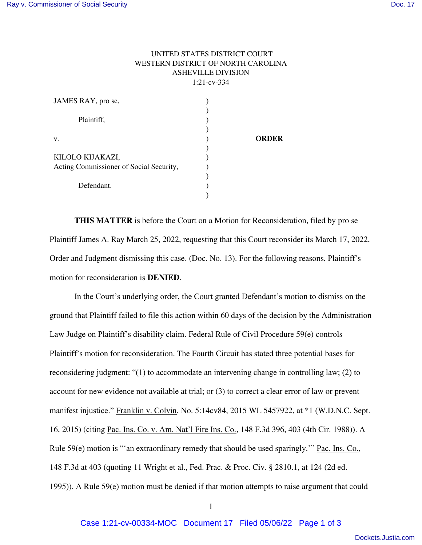## UNITED STATES DISTRICT COURT WESTERN DISTRICT OF NORTH CAROLINA ASHEVILLE DIVISION 1:21-cv-334

| JAMES RAY, pro se,                                          |              |
|-------------------------------------------------------------|--------------|
| Plaintiff,                                                  |              |
| V.                                                          | <b>ORDER</b> |
| KILOLO KIJAKAZI,<br>Acting Commissioner of Social Security, |              |
| Defendant.                                                  |              |

**THIS MATTER** is before the Court on a Motion for Reconsideration, filed by pro se Plaintiff James A. Ray March 25, 2022, requesting that this Court reconsider its March 17, 2022, Order and Judgment dismissing this case. (Doc. No. 13). For the following reasons, Plaintiff's motion for reconsideration is **DENIED**.

In the Court's underlying order, the Court granted Defendant's motion to dismiss on the ground that Plaintiff failed to file this action within 60 days of the decision by the Administration Law Judge on Plaintiff's disability claim. Federal Rule of Civil Procedure 59(e) controls Plaintiff's motion for reconsideration. The Fourth Circuit has stated three potential bases for reconsidering judgment: "(1) to accommodate an intervening change in controlling law; (2) to account for new evidence not available at trial; or (3) to correct a clear error of law or prevent manifest injustice." Franklin v. Colvin, No. 5:14cv84, 2015 WL 5457922, at \*1 (W.D.N.C. Sept. 16, 2015) (citing Pac. Ins. Co. v. Am. Nat'l Fire Ins. Co., 148 F.3d 396, 403 (4th Cir. 1988)). A Rule 59(e) motion is "'an extraordinary remedy that should be used sparingly.'" Pac. Ins. Co., 148 F.3d at 403 (quoting 11 Wright et al., Fed. Prac. & Proc. Civ. § 2810.1, at 124 (2d ed. 1995)). A Rule 59(e) motion must be denied if that motion attempts to raise argument that could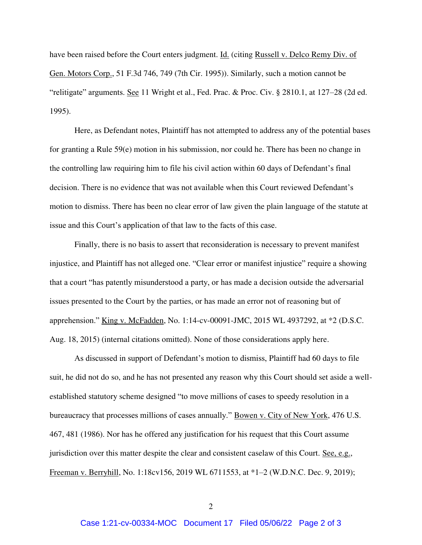have been raised before the Court enters judgment. Id. (citing Russell v. Delco Remy Div. of Gen. Motors Corp., 51 F.3d 746, 749 (7th Cir. 1995)). Similarly, such a motion cannot be "relitigate" arguments. See 11 Wright et al., Fed. Prac. & Proc. Civ. § 2810.1, at 127–28 (2d ed. 1995).

Here, as Defendant notes, Plaintiff has not attempted to address any of the potential bases for granting a Rule 59(e) motion in his submission, nor could he. There has been no change in the controlling law requiring him to file his civil action within 60 days of Defendant's final decision. There is no evidence that was not available when this Court reviewed Defendant's motion to dismiss. There has been no clear error of law given the plain language of the statute at issue and this Court's application of that law to the facts of this case.

Finally, there is no basis to assert that reconsideration is necessary to prevent manifest injustice, and Plaintiff has not alleged one. "Clear error or manifest injustice" require a showing that a court "has patently misunderstood a party, or has made a decision outside the adversarial issues presented to the Court by the parties, or has made an error not of reasoning but of apprehension." King v. McFadden, No. 1:14-cv-00091-JMC, 2015 WL 4937292, at \*2 (D.S.C. Aug. 18, 2015) (internal citations omitted). None of those considerations apply here.

As discussed in support of Defendant's motion to dismiss, Plaintiff had 60 days to file suit, he did not do so, and he has not presented any reason why this Court should set aside a wellestablished statutory scheme designed "to move millions of cases to speedy resolution in a bureaucracy that processes millions of cases annually." Bowen v. City of New York, 476 U.S. 467, 481 (1986). Nor has he offered any justification for his request that this Court assume jurisdiction over this matter despite the clear and consistent caselaw of this Court. See, e.g., Freeman v. Berryhill, No. 1:18cv156, 2019 WL 6711553, at \*1–2 (W.D.N.C. Dec. 9, 2019);